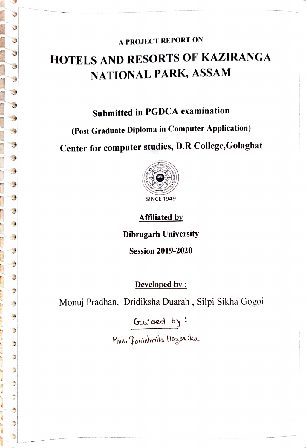### A PROJECT REPORT ON

# HOTELS AND RESORTS OF KAZIRANGA NATIONAL PARK, ASSAM

Submitted in PGDCA examination

(Post Graduate Diploma in Computer Application)

₿

A

 $\frac{1}{2}$ 

Center for computer studies, D.R College,Golaghat



Affiliated by

Dibrugarh University

Session 2019-2020

#### Developed by:

Monuj Pradhan, Dridiksha Duarah, Silpi Sikha Gogoi

Gruided by:

Mus. Pawiahmmita Hagaw:ka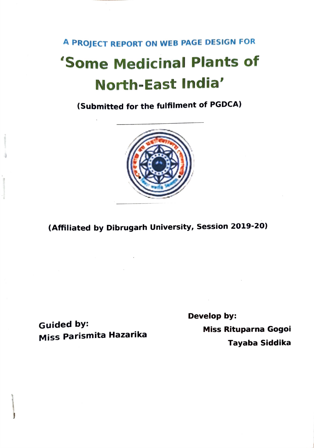# A PROJECT REPORT ON WEB PAGE DESIGN FOR 'Some Medicinal Plants of North-East India'

(Submitted for the fulfilment of PGDCA)



(Affiliated by Dibrugarh University, Session 2019-20)

Develop by: Guided by: Miss Rituparna Gogoi Miss Parismita Hazarika Tayaba Siddika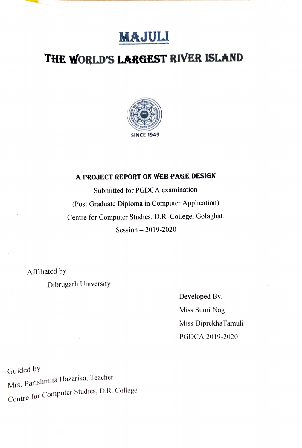## MAJULI

## THE WORLD'S LARGEST RIVER ISLAND



#### A PROJECT REPORT ON WEB PAGE DESIGN

Submitted for PGDCA examination (Post Graduate Diploma in Computer Application) Centre for Computer Studies, D.R. College, Golaghat. Session  $-2019 - 2020$ 

Affiliated by

Dibrugarh University

Developed By, Miss Sumi Nag Miss DiprekhaTamuli PGDCA 2019-2020

Guided by Mrs. Parishmita Hazarika, Teacher Centre for Computer Studies, D.R. College